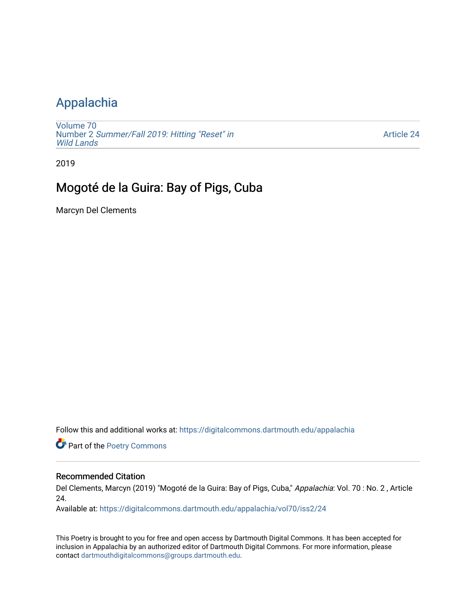## [Appalachia](https://digitalcommons.dartmouth.edu/appalachia)

[Volume 70](https://digitalcommons.dartmouth.edu/appalachia/vol70) Number 2 [Summer/Fall 2019: Hitting "Reset" in](https://digitalcommons.dartmouth.edu/appalachia/vol70/iss2) [Wild Lands](https://digitalcommons.dartmouth.edu/appalachia/vol70/iss2) 

[Article 24](https://digitalcommons.dartmouth.edu/appalachia/vol70/iss2/24) 

2019

## Mogoté de la Guira: Bay of Pigs, Cuba

Marcyn Del Clements

Follow this and additional works at: [https://digitalcommons.dartmouth.edu/appalachia](https://digitalcommons.dartmouth.edu/appalachia?utm_source=digitalcommons.dartmouth.edu%2Fappalachia%2Fvol70%2Fiss2%2F24&utm_medium=PDF&utm_campaign=PDFCoverPages)

Part of the [Poetry Commons](http://network.bepress.com/hgg/discipline/1153?utm_source=digitalcommons.dartmouth.edu%2Fappalachia%2Fvol70%2Fiss2%2F24&utm_medium=PDF&utm_campaign=PDFCoverPages) 

## Recommended Citation

Del Clements, Marcyn (2019) "Mogoté de la Guira: Bay of Pigs, Cuba," Appalachia: Vol. 70 : No. 2 , Article 24.

Available at: [https://digitalcommons.dartmouth.edu/appalachia/vol70/iss2/24](https://digitalcommons.dartmouth.edu/appalachia/vol70/iss2/24?utm_source=digitalcommons.dartmouth.edu%2Fappalachia%2Fvol70%2Fiss2%2F24&utm_medium=PDF&utm_campaign=PDFCoverPages) 

This Poetry is brought to you for free and open access by Dartmouth Digital Commons. It has been accepted for inclusion in Appalachia by an authorized editor of Dartmouth Digital Commons. For more information, please contact [dartmouthdigitalcommons@groups.dartmouth.edu.](mailto:dartmouthdigitalcommons@groups.dartmouth.edu)